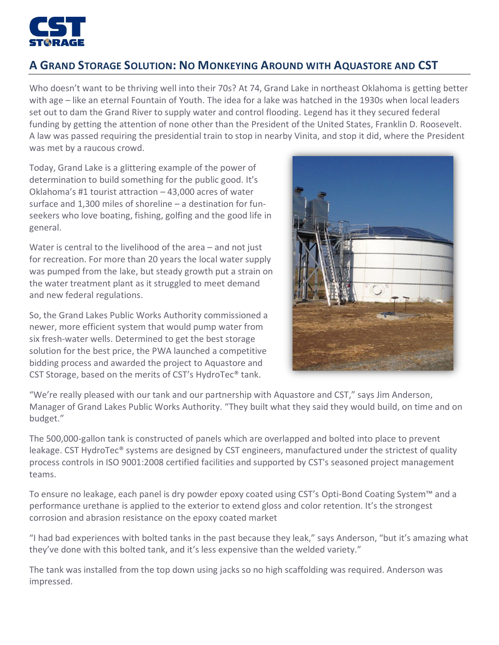

## **A GRAND STORAGE SOLUTION: NO MONKEYING AROUND WITH AQUASTORE AND CST**

Who doesn't want to be thriving well into their 70s? At 74, Grand Lake in northeast Oklahoma is getting better with age – like an eternal Fountain of Youth. The idea for a lake was hatched in the 1930s when local leaders set out to dam the Grand River to supply water and control flooding. Legend has it they secured federal funding by getting the attention of none other than the President of the United States, Franklin D. Roosevelt. A law was passed requiring the presidential train to stop in nearby Vinita, and stop it did, where the President was met by a raucous crowd.

Today, Grand Lake is a glittering example of the power of determination to build something for the public good. It's Oklahoma's #1 tourist attraction – 43,000 acres of water surface and 1,300 miles of shoreline – a destination for funseekers who love boating, fishing, golfing and the good life in general.

Water is central to the livelihood of the area – and not just for recreation. For more than 20 years the local water supply was pumped from the lake, but steady growth put a strain on the water treatment plant as it struggled to meet demand and new federal regulations.

So, the Grand Lakes Public Works Authority commissioned a newer, more efficient system that would pump water from six fresh-water wells. Determined to get the best storage solution for the best price, the PWA launched a competitive bidding process and awarded the project to Aquastore and CST Storage, based on the merits of CST's HydroTec® tank.



"We're really pleased with our tank and our partnership with Aquastore and CST," says Jim Anderson, Manager of Grand Lakes Public Works Authority. "They built what they said they would build, on time and on budget."

The 500,000-gallon tank is constructed of panels which are overlapped and bolted into place to prevent leakage. CST HydroTec® systems are designed by CST engineers, manufactured under the strictest of quality process controls in ISO 9001:2008 certified facilities and supported by CST's seasoned project management teams.

To ensure no leakage, each panel is dry powder epoxy coated using CST's Opti-Bond Coating System™ and a performance urethane is applied to the exterior to extend gloss and color retention. It's the strongest corrosion and abrasion resistance on the epoxy coated market

"I had bad experiences with bolted tanks in the past because they leak," says Anderson, "but it's amazing what they've done with this bolted tank, and it's less expensive than the welded variety."

The tank was installed from the top down using jacks so no high scaffolding was required. Anderson was impressed.